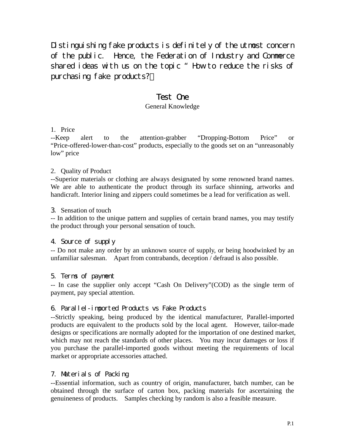Distinguishing fake products is definitely of the utmost concern of the public. Hence, the Federation of Industry and Commerce shared ideas with us on the topic "How to reduce the risks of purchasing fake products?"

# Test One

# General Knowledge

### 1. Price

--Keep alert to the attention-grabber "Dropping-Bottom Price" or "Price-offered-lower-than-cost" products, especially to the goods set on an "unreasonably low" price

### 2. Quality of Product

--Superior materials or clothing are always designated by some renowned brand names. We are able to authenticate the product through its surface shinning, artworks and handicraft. Interior lining and zippers could sometimes be a lead for verification as well.

### 3. Sensation of touch

-- In addition to the unique pattern and supplies of certain brand names, you may testify the product through your personal sensation of touch.

# 4. Source of supply

-- Do not make any order by an unknown source of supply, or being hoodwinked by an unfamiliar salesman. Apart from contrabands, deception / defraud is also possible.

# 5. Terms of payment

-- In case the supplier only accept "Cash On Delivery"(COD) as the single term of payment, pay special attention.

# 6. Parallel-imported Products vs Fake Products

--Strictly speaking, being produced by the identical manufacturer, Parallel-imported products are equivalent to the products sold by the local agent. However, tailor-made designs or specifications are normally adopted for the importation of one destined market, which may not reach the standards of other places. You may incur damages or loss if you purchase the parallel-imported goods without meeting the requirements of local market or appropriate accessories attached.

# 7. Materials of Packing

--Essential information, such as country of origin, manufacturer, batch number, can be obtained through the surface of carton box, packing materials for ascertaining the genuineness of products. Samples checking by random is also a feasible measure.